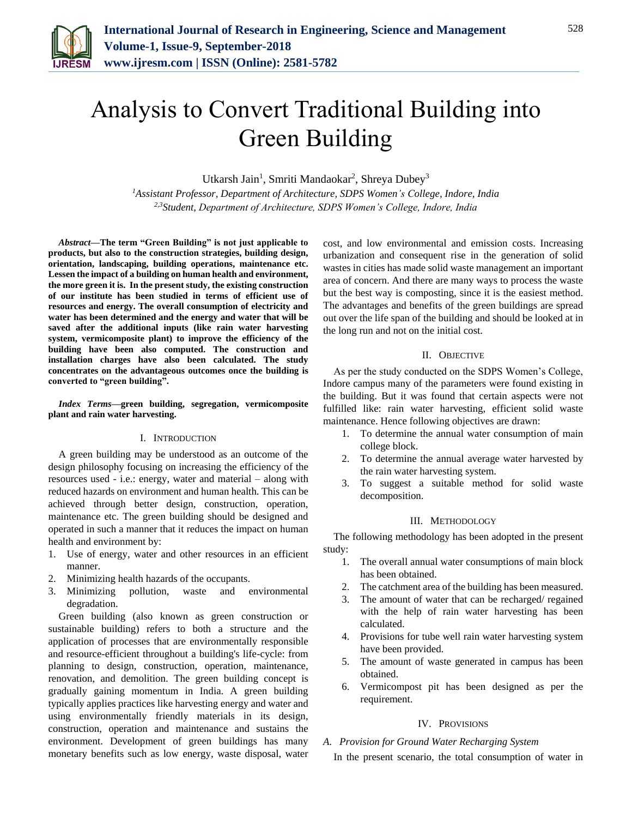

# Analysis to Convert Traditional Building into Green Building

Utkarsh Jain<sup>1</sup>, Smriti Mandaokar<sup>2</sup>, Shreya Dubey<sup>3</sup>

*<sup>1</sup>Assistant Professor, Department of Architecture, SDPS Women's College, Indore, India 2,3Student, Department of Architecture, SDPS Women's College, Indore, India*

*Abstract***—The term "Green Building" is not just applicable to products, but also to the construction strategies, building design, orientation, landscaping, building operations, maintenance etc. Lessen the impact of a building on human health and environment, the more green it is. In the present study, the existing construction of our institute has been studied in terms of efficient use of resources and energy. The overall consumption of electricity and water has been determined and the energy and water that will be saved after the additional inputs (like rain water harvesting system, vermicomposite plant) to improve the efficiency of the building have been also computed. The construction and installation charges have also been calculated. The study concentrates on the advantageous outcomes once the building is converted to "green building".**

*Index Terms***—green building, segregation, vermicomposite plant and rain water harvesting.**

#### I. INTRODUCTION

A green building may be understood as an outcome of the design philosophy focusing on increasing the efficiency of the resources used - i.e.: energy, water and material – along with reduced hazards on environment and human health. This can be achieved through better design, construction, operation, maintenance etc. The green building should be designed and operated in such a manner that it reduces the impact on human health and environment by:

- 1. Use of energy, water and other resources in an efficient manner.
- 2. Minimizing health hazards of the occupants.
- 3. Minimizing pollution, waste and environmental degradation.

Green building (also known as green construction or sustainable building) refers to both a structure and the application of processes that are environmentally responsible and resource-efficient throughout a building's life-cycle: from planning to design, construction, operation, maintenance, renovation, and demolition. The green building concept is gradually gaining momentum in India. A green building typically applies practices like harvesting energy and water and using environmentally friendly materials in its design, construction, operation and maintenance and sustains the environment. Development of green buildings has many monetary benefits such as low energy, waste disposal, water cost, and low environmental and emission costs. Increasing urbanization and consequent rise in the generation of solid wastes in cities has made solid waste management an important area of concern. And there are many ways to process the waste but the best way is composting, since it is the easiest method. The advantages and benefits of the green buildings are spread out over the life span of the building and should be looked at in the long run and not on the initial cost.

# II. OBJECTIVE

As per the study conducted on the SDPS Women's College, Indore campus many of the parameters were found existing in the building. But it was found that certain aspects were not fulfilled like: rain water harvesting, efficient solid waste maintenance. Hence following objectives are drawn:

- 1. To determine the annual water consumption of main college block.
- 2. To determine the annual average water harvested by the rain water harvesting system.
- 3. To suggest a suitable method for solid waste decomposition.

#### III. METHODOLOGY

The following methodology has been adopted in the present study:

- 1. The overall annual water consumptions of main block has been obtained.
- 2. The catchment area of the building has been measured.
- 3. The amount of water that can be recharged/ regained with the help of rain water harvesting has been calculated.
- 4. Provisions for tube well rain water harvesting system have been provided.
- 5. The amount of waste generated in campus has been obtained.
- 6. Vermicompost pit has been designed as per the requirement.

#### IV. PROVISIONS

# *A. Provision for Ground Water Recharging System*

In the present scenario, the total consumption of water in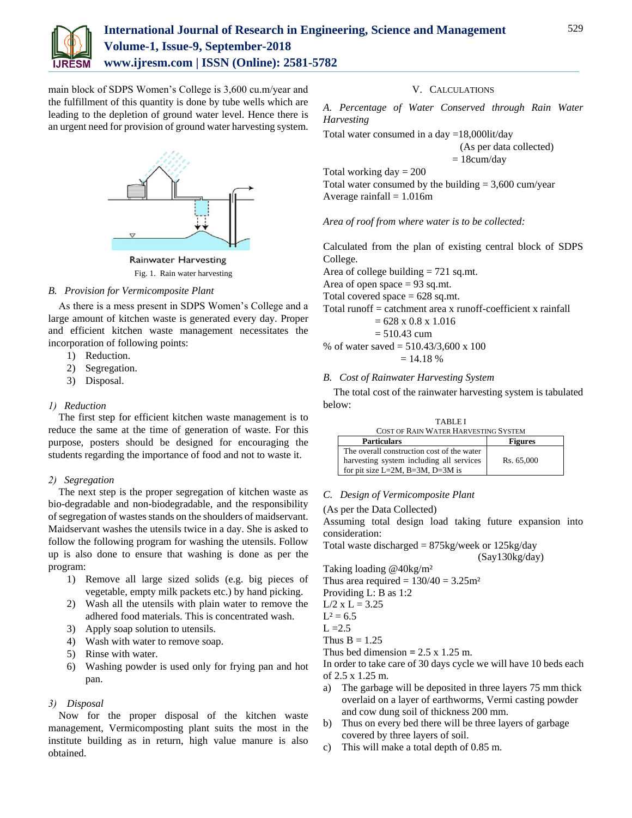

# **International Journal of Research in Engineering, Science and Management Volume-1, Issue-9, September-2018 www.ijresm.com | ISSN (Online): 2581-5782**

main block of SDPS Women's College is 3,600 cu.m/year and the fulfillment of this quantity is done by tube wells which are leading to the depletion of ground water level. Hence there is an urgent need for provision of ground water harvesting system.



**Rainwater Harvesting** Fig. 1. Rain water harvesting

# *B. Provision for Vermicomposite Plant*

As there is a mess present in SDPS Women's College and a large amount of kitchen waste is generated every day. Proper and efficient kitchen waste management necessitates the incorporation of following points:

- 1) Reduction.
- 2) Segregation.
- 3) Disposal.

#### *1) Reduction*

The first step for efficient kitchen waste management is to reduce the same at the time of generation of waste. For this purpose, posters should be designed for encouraging the students regarding the importance of food and not to waste it.

#### *2) Segregation*

The next step is the proper segregation of kitchen waste as bio-degradable and non-biodegradable, and the responsibility of segregation of wastes stands on the shoulders of maidservant. Maidservant washes the utensils twice in a day. She is asked to follow the following program for washing the utensils. Follow up is also done to ensure that washing is done as per the program:

- 1) Remove all large sized solids (e.g. big pieces of vegetable, empty milk packets etc.) by hand picking.
- 2) Wash all the utensils with plain water to remove the adhered food materials. This is concentrated wash.
- 3) Apply soap solution to utensils.
- 4) Wash with water to remove soap.
- 5) Rinse with water.
- 6) Washing powder is used only for frying pan and hot pan.

# *3) Disposal*

Now for the proper disposal of the kitchen waste management, Vermicomposting plant suits the most in the institute building as in return, high value manure is also obtained.

#### V. CALCULATIONS

*A. Percentage of Water Conserved through Rain Water Harvesting*

Total water consumed in a day =18,000lit/day

$$
(As per data collected)=18cum/day
$$

Total working  $day = 200$ Total water consumed by the building  $= 3,600$  cum/year Average rainfall  $= 1.016$ m

# *Area of roof from where water is to be collected:*

Calculated from the plan of existing central block of SDPS College.

Area of college building = 721 sq.mt.

Area of open space  $= 93$  sq.mt.

Total covered space  $= 628$  sq.mt.

Total runoff = catchment area x runoff-coefficient x rainfall  $= 628 \times 0.8 \times 1.016$ 

 $= 510.43$  cum

% of water saved = 510.43/3,600 x 100

$$
= 14.18\%
$$

# *B. Cost of Rainwater Harvesting System*

The total cost of the rainwater harvesting system is tabulated below:

| ortienlore                           | Figures |
|--------------------------------------|---------|
| COST OF RAIN WATER HARVESTING SYSTEM |         |
| <b>TABLEI</b>                        |         |

| <b>Particulars</b>                         | <b>Figures</b> |
|--------------------------------------------|----------------|
| The overall construction cost of the water |                |
| harvesting system including all services   | Rs. 65,000     |
| for pit size $L=2M$ , $B=3M$ , $D=3M$ is   |                |

# *C. Design of Vermicomposite Plant*

(As per the Data Collected)

Assuming total design load taking future expansion into consideration:

```
Total waste discharged = 875kg/week or 125kg/day
```
(Say130kg/day)

Taking loading @40kg/m²

- Thus area required =  $130/40 = 3.25$ m<sup>2</sup>
- Providing L: B as 1:2
- $L/2$  x  $L = 3.25$
- $L^2 = 6.5$
- $L = 2.5$

Thus  $B = 1.25$ 

Thus bed dimension  $= 2.5 \times 1.25$  m.

In order to take care of 30 days cycle we will have 10 beds each of 2.5 x 1.25 m.

- a) The garbage will be deposited in three layers 75 mm thick overlaid on a layer of earthworms, Vermi casting powder and cow dung soil of thickness 200 mm.
- b) Thus on every bed there will be three layers of garbage covered by three layers of soil.
- c) This will make a total depth of 0.85 m.